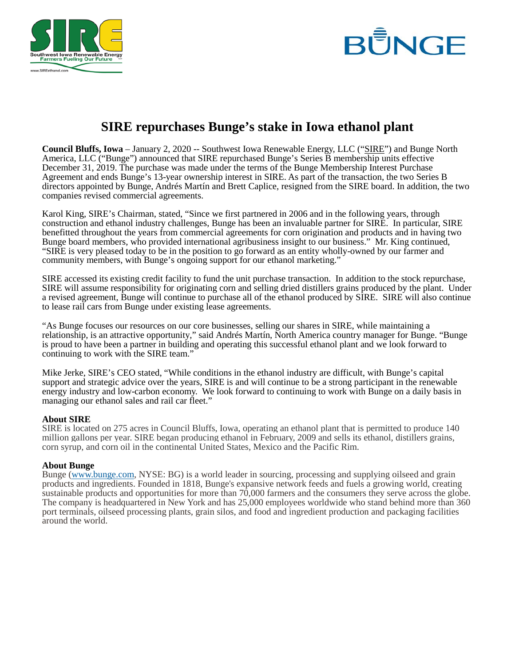



## **SIRE repurchases Bunge's stake in Iowa ethanol plant**

**Council Bluffs, Iowa** – January 2, 2020 -- Southwest Iowa Renewable Energy, LLC ("SIRE") and Bunge North America, LLC ("Bunge") announced that SIRE repurchased Bunge's Series B membership units effective December 31, 2019. The purchase was made under the terms of the Bunge Membership Interest Purchase Agreement and ends Bunge's 13-year ownership interest in SIRE. As part of the transaction, the two Series B directors appointed by Bunge, Andrés Martín and Brett Caplice, resigned from the SIRE board. In addition, the two companies revised commercial agreements.

Karol King, SIRE's Chairman, stated, "Since we first partnered in 2006 and in the following years, through construction and ethanol industry challenges, Bunge has been an invaluable partner for SIRE. In particular, SIRE benefitted throughout the years from commercial agreements for corn origination and products and in having two Bunge board members, who provided international agribusiness insight to our business." Mr. King continued, "SIRE is very pleased today to be in the position to go forward as an entity wholly-owned by our farmer and community members, with Bunge's ongoing support for our ethanol marketing."

SIRE accessed its existing credit facility to fund the unit purchase transaction. In addition to the stock repurchase, SIRE will assume responsibility for originating corn and selling dried distillers grains produced by the plant. Under a revised agreement, Bunge will continue to purchase all of the ethanol produced by SIRE. SIRE will also continue to lease rail cars from Bunge under existing lease agreements.

"As Bunge focuses our resources on our core businesses, selling our shares in SIRE, while maintaining a relationship, is an attractive opportunity," said Andrés Martín, North America country manager for Bunge. "Bunge is proud to have been a partner in building and operating this successful ethanol plant and we look forward to continuing to work with the SIRE team."

Mike Jerke, SIRE's CEO stated, "While conditions in the ethanol industry are difficult, with Bunge's capital support and strategic advice over the years, SIRE is and will continue to be a strong participant in the renewable energy industry and low-carbon economy. We look forward to continuing to work with Bunge on a daily basis in managing our ethanol sales and rail car fleet."

## **About SIRE**

SIRE is located on 275 acres in Council Bluffs, Iowa, operating an ethanol plant that is permitted to produce 140 million gallons per year. SIRE began producing ethanol in February, 2009 and sells its ethanol, distillers grains, corn syrup, and corn oil in the continental United States, Mexico and the Pacific Rim.

## **About Bunge**

Bunge [\(www.bunge.com,](http://www.bunge.com/) NYSE: BG) is a world leader in sourcing, processing and supplying oilseed and grain products and ingredients. Founded in 1818, Bunge's expansive network feeds and fuels a growing world, creating sustainable products and opportunities for more than 70,000 farmers and the consumers they serve across the globe. The company is headquartered in New York and has 25,000 employees worldwide who stand behind more than 360 port terminals, oilseed processing plants, grain silos, and food and ingredient production and packaging facilities around the world.